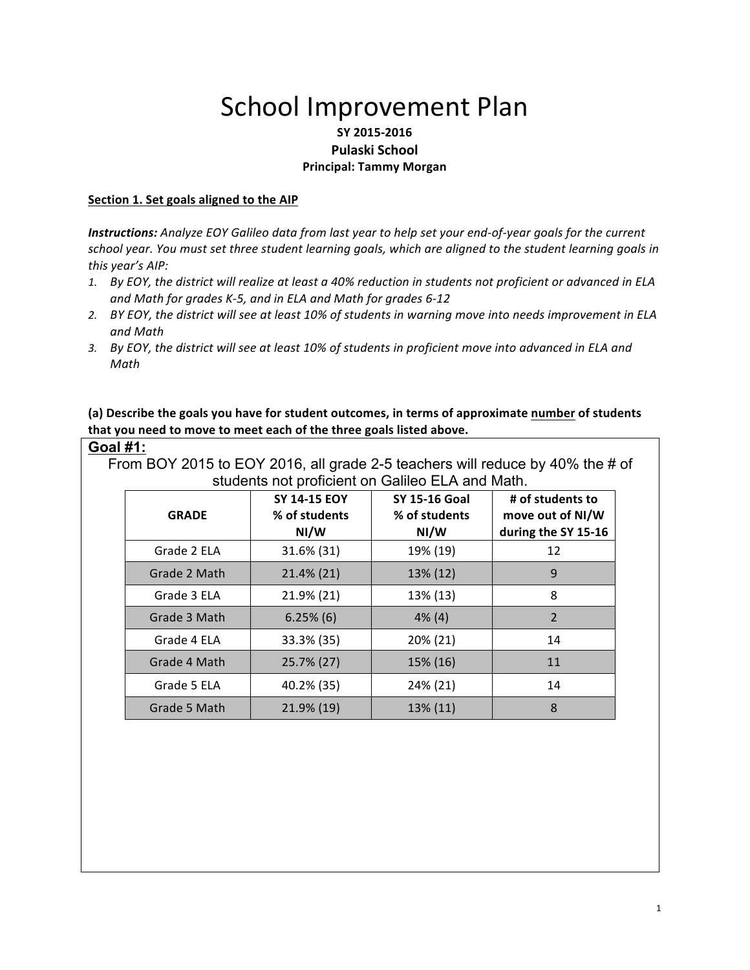# School Improvement Plan

## **SY 2015-2016 Pulaski School Principal: Tammy Morgan**

#### **Section 1. Set goals aligned to the AIP**

*Instructions:* Analyze EOY Galileo data from last year to help set your end-of-year goals for the current school year. You must set three student learning goals, which are aligned to the student learning goals in this year's AIP:

- 1. By EOY, the district will realize at least a 40% reduction in students not proficient or advanced in ELA *and Math for grades K-5, and in ELA and Math for grades 6-12*
- 2. *BY* EOY, the district will see at least 10% of students in warning move into needs improvement in ELA *and Math*
- 3. By EOY, the district will see at least 10% of students in proficient move into advanced in ELA and *Math*

(a) Describe the goals you have for student outcomes, in terms of approximate number of students that you need to move to meet each of the three goals listed above.

#### **Goal #1:**

From BOY 2015 to EOY 2016, all grade 2-5 teachers will reduce by 40% the # of students not proficient on Galileo ELA and Math.

| <b>GRADE</b> | SY 14-15 EOY<br>% of students<br>NI/W | <b>SY 15-16 Goal</b><br>% of students<br>NI/W | # of students to<br>move out of NI/W<br>during the SY 15-16 |
|--------------|---------------------------------------|-----------------------------------------------|-------------------------------------------------------------|
| Grade 2 ELA  | 31.6% (31)                            | 19% (19)                                      | 12                                                          |
| Grade 2 Math | 21.4% (21)                            | 13% (12)                                      | 9                                                           |
| Grade 3 ELA  | 21.9% (21)                            | 13% (13)                                      | 8                                                           |
| Grade 3 Math | $6.25\%$ (6)                          | $4\%$ (4)                                     | $\overline{2}$                                              |
| Grade 4 ELA  | 33.3% (35)                            | 20% (21)                                      | 14                                                          |
| Grade 4 Math | 25.7% (27)                            | 15% (16)                                      | 11                                                          |
| Grade 5 ELA  | 40.2% (35)                            | 24% (21)                                      | 14                                                          |
| Grade 5 Math | 21.9% (19)                            | 13% (11)                                      | 8                                                           |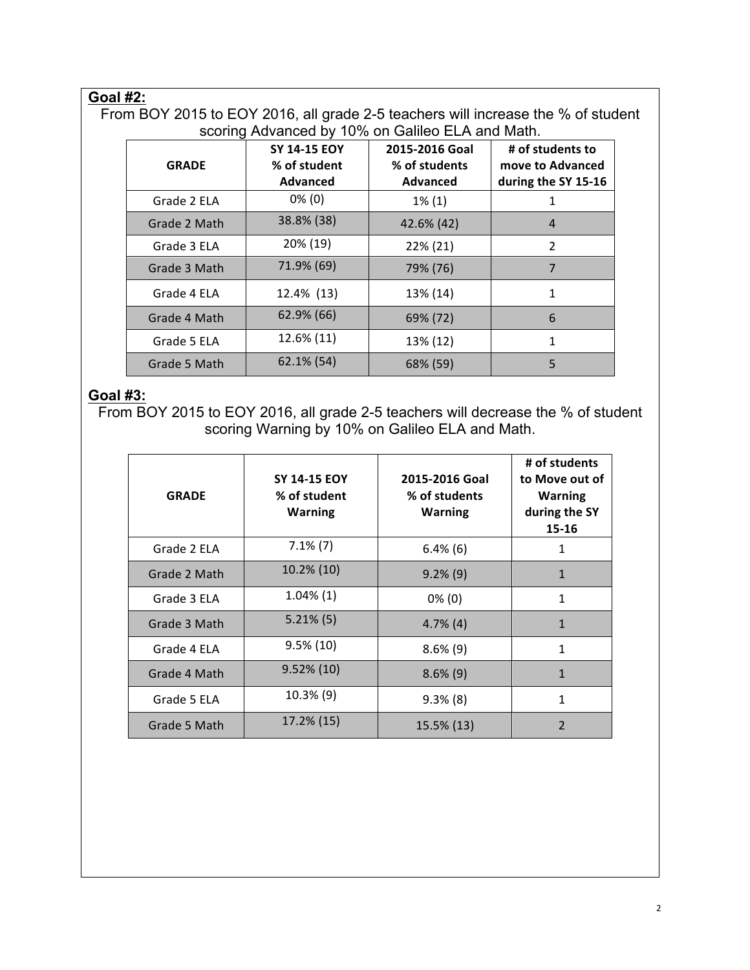# **Goal #2:**

From BOY 2015 to EOY 2016, all grade 2-5 teachers will increase the % of student scoring Advanced by 10% on Galileo ELA and Math.

| <b>GRADE</b> | <b>SY 14-15 EOY</b><br>% of student<br>Advanced | 2015-2016 Goal<br>% of students<br><b>Advanced</b> | # of students to<br>move to Advanced<br>during the SY 15-16 |
|--------------|-------------------------------------------------|----------------------------------------------------|-------------------------------------------------------------|
| Grade 2 ELA  | $0\%$ (0)                                       | $1\%$ (1)                                          | 1                                                           |
| Grade 2 Math | 38.8% (38)                                      | 42.6% (42)                                         | 4                                                           |
| Grade 3 ELA  | 20% (19)                                        | 22% (21)                                           | $\overline{2}$                                              |
| Grade 3 Math | 71.9% (69)                                      | 79% (76)                                           | 7                                                           |
| Grade 4 ELA  | 12.4% (13)                                      | 13% (14)                                           | $\mathbf{1}$                                                |
| Grade 4 Math | 62.9% (66)                                      | 69% (72)                                           | 6                                                           |
| Grade 5 ELA  | 12.6% (11)                                      | 13% (12)                                           | 1                                                           |
| Grade 5 Math | 62.1% (54)                                      | 68% (59)                                           | 5                                                           |

# **Goal #3:**

From BOY 2015 to EOY 2016, all grade 2-5 teachers will decrease the % of student scoring Warning by 10% on Galileo ELA and Math.

| <b>GRADE</b> | <b>SY 14-15 EOY</b><br>% of student<br><b>Warning</b> | 2015-2016 Goal<br>% of students<br><b>Warning</b> | # of students<br>to Move out of<br><b>Warning</b><br>during the SY<br>15-16 |
|--------------|-------------------------------------------------------|---------------------------------------------------|-----------------------------------------------------------------------------|
| Grade 2 ELA  | $7.1\%$ (7)                                           | $6.4\%$ (6)                                       | 1                                                                           |
| Grade 2 Math | 10.2% (10)                                            | $9.2\%$ (9)                                       | $\mathbf{1}$                                                                |
| Grade 3 ELA  | $1.04\%$ (1)                                          | $0\%$ (0)                                         | 1                                                                           |
| Grade 3 Math | $5.21\%$ (5)                                          | $4.7\%$ (4)                                       | $\mathbf{1}$                                                                |
| Grade 4 ELA  | $9.5\%(10)$                                           | $8.6\%$ (9)                                       | 1                                                                           |
| Grade 4 Math | $9.52\%$ (10)                                         | $8.6\%$ (9)                                       | $\mathbf{1}$                                                                |
| Grade 5 ELA  | 10.3% (9)                                             | $9.3\%$ (8)                                       | 1                                                                           |
| Grade 5 Math | 17.2% (15)                                            | 15.5% (13)                                        | $\overline{2}$                                                              |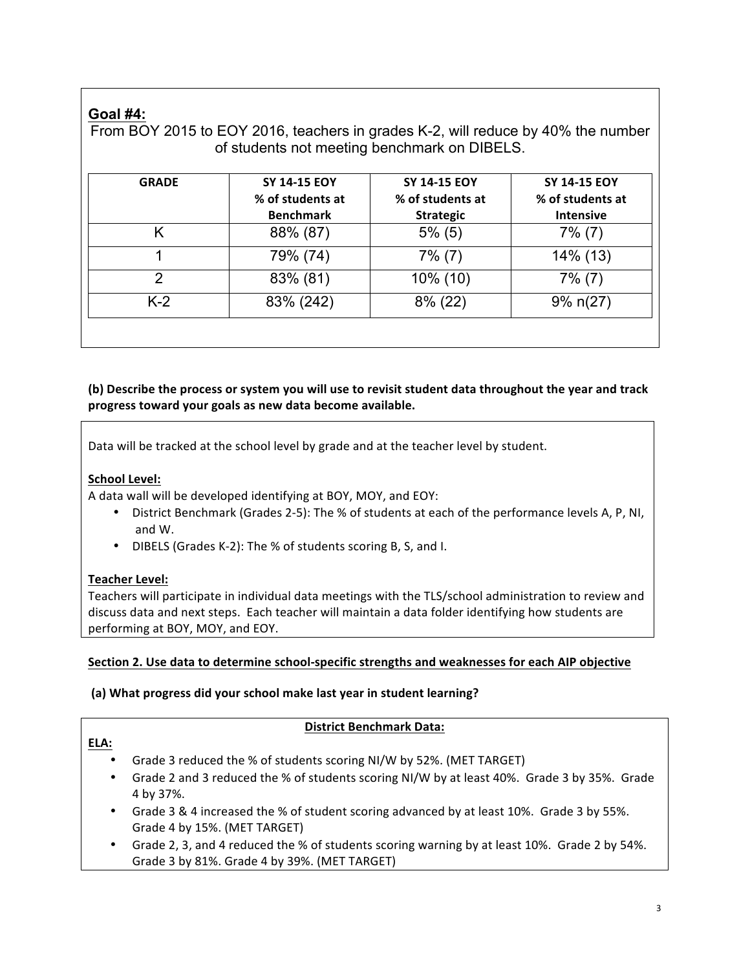# **Goal #4:**

From BOY 2015 to EOY 2016, teachers in grades K-2, will reduce by 40% the number of students not meeting benchmark on DIBELS.

| <b>GRADE</b> | <b>SY 14-15 EOY</b><br>% of students at<br><b>Benchmark</b> | SY 14-15 EOY<br>% of students at<br><b>Strategic</b> | <b>SY 14-15 EOY</b><br>% of students at<br><b>Intensive</b> |
|--------------|-------------------------------------------------------------|------------------------------------------------------|-------------------------------------------------------------|
|              | 88% (87)                                                    | $5\%$ (5)                                            | $7\%$ (7)                                                   |
|              | 79% (74)                                                    | $7\%$ (7)                                            | 14% (13)                                                    |
| 2            | 83% (81)                                                    | 10% (10)                                             | $7\%$ (7)                                                   |
| $K-2$        | 83% (242)                                                   | $8\%$ (22)                                           | $9\%$ n(27)                                                 |

## **(b)** Describe the process or system you will use to revisit student data throughout the year and track progress toward your goals as new data become available.

Data will be tracked at the school level by grade and at the teacher level by student.

## **School Level:**

A data wall will be developed identifying at BOY, MOY, and EOY:

- District Benchmark (Grades 2-5): The % of students at each of the performance levels A, P, NI, and W.
- DIBELS (Grades K-2): The % of students scoring B, S, and I.

## **Teacher Level:**

**ELA:**

Teachers will participate in individual data meetings with the TLS/school administration to review and discuss data and next steps. Each teacher will maintain a data folder identifying how students are performing at BOY, MOY, and EOY.

## Section 2. Use data to determine school-specific strengths and weaknesses for each AIP objective

## (a) What progress did your school make last year in student learning?

## **District Benchmark Data:**

- Grade 3 reduced the % of students scoring NI/W by 52%. (MET TARGET)
- Grade 2 and 3 reduced the % of students scoring NI/W by at least 40%. Grade 3 by 35%. Grade 4 by 37%.
- Grade 3 & 4 increased the % of student scoring advanced by at least 10%. Grade 3 by 55%. Grade 4 by 15%. (MET TARGET)
- Grade 2, 3, and 4 reduced the % of students scoring warning by at least 10%. Grade 2 by 54%. Grade 3 by 81%. Grade 4 by 39%. (MET TARGET)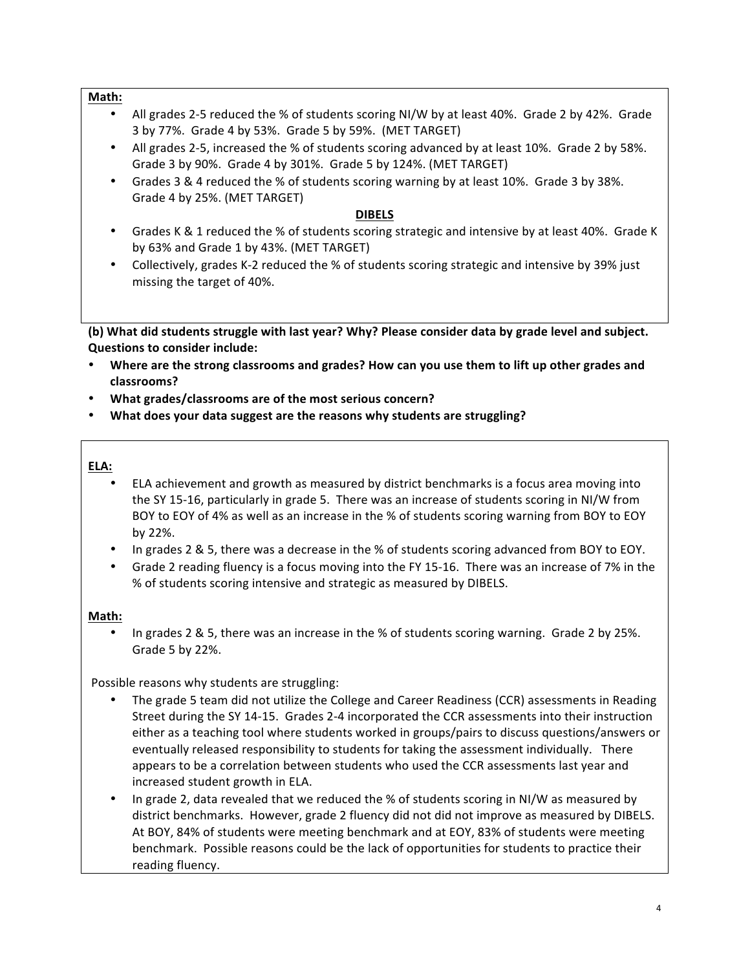#### **Math:**

- All grades 2-5 reduced the % of students scoring NI/W by at least 40%. Grade 2 by 42%. Grade 3 by 77%. Grade 4 by 53%. Grade 5 by 59%. (MET TARGET)
- All grades 2-5, increased the % of students scoring advanced by at least 10%. Grade 2 by 58%. Grade 3 by 90%. Grade 4 by 301%. Grade 5 by 124%. (MET TARGET)
- Grades 3 & 4 reduced the % of students scoring warning by at least 10%. Grade 3 by 38%. Grade 4 by 25%. (MET TARGET)

#### **DIBELS**

- Grades K & 1 reduced the % of students scoring strategic and intensive by at least 40%. Grade K by 63% and Grade 1 by 43%. (MET TARGET)
- Collectively, grades K-2 reduced the % of students scoring strategic and intensive by 39% just missing the target of 40%.

**(b)** What did students struggle with last year? Why? Please consider data by grade level and subject. **Questions to consider include:** 

- Where are the strong classrooms and grades? How can you use them to lift up other grades and **classrooms?**
- **What grades/classrooms are of the most serious concern?**
- What does your data suggest are the reasons why students are struggling?

#### **ELA:**

- ELA achievement and growth as measured by district benchmarks is a focus area moving into the SY 15-16, particularly in grade 5. There was an increase of students scoring in NI/W from BOY to EOY of 4% as well as an increase in the % of students scoring warning from BOY to EOY by 22%.
- In grades 2 & 5, there was a decrease in the % of students scoring advanced from BOY to EOY.
- Grade 2 reading fluency is a focus moving into the FY 15-16. There was an increase of 7% in the % of students scoring intensive and strategic as measured by DIBELS.

#### **Math:**

In grades 2 & 5, there was an increase in the % of students scoring warning. Grade 2 by 25%. Grade 5 by 22%.

Possible reasons why students are struggling:

- The grade 5 team did not utilize the College and Career Readiness (CCR) assessments in Reading Street during the SY 14-15. Grades 2-4 incorporated the CCR assessments into their instruction either as a teaching tool where students worked in groups/pairs to discuss questions/answers or eventually released responsibility to students for taking the assessment individually. There appears to be a correlation between students who used the CCR assessments last year and increased student growth in ELA.
- In grade 2, data revealed that we reduced the % of students scoring in NI/W as measured by district benchmarks. However, grade 2 fluency did not did not improve as measured by DIBELS. At BOY, 84% of students were meeting benchmark and at EOY, 83% of students were meeting benchmark. Possible reasons could be the lack of opportunities for students to practice their reading fluency.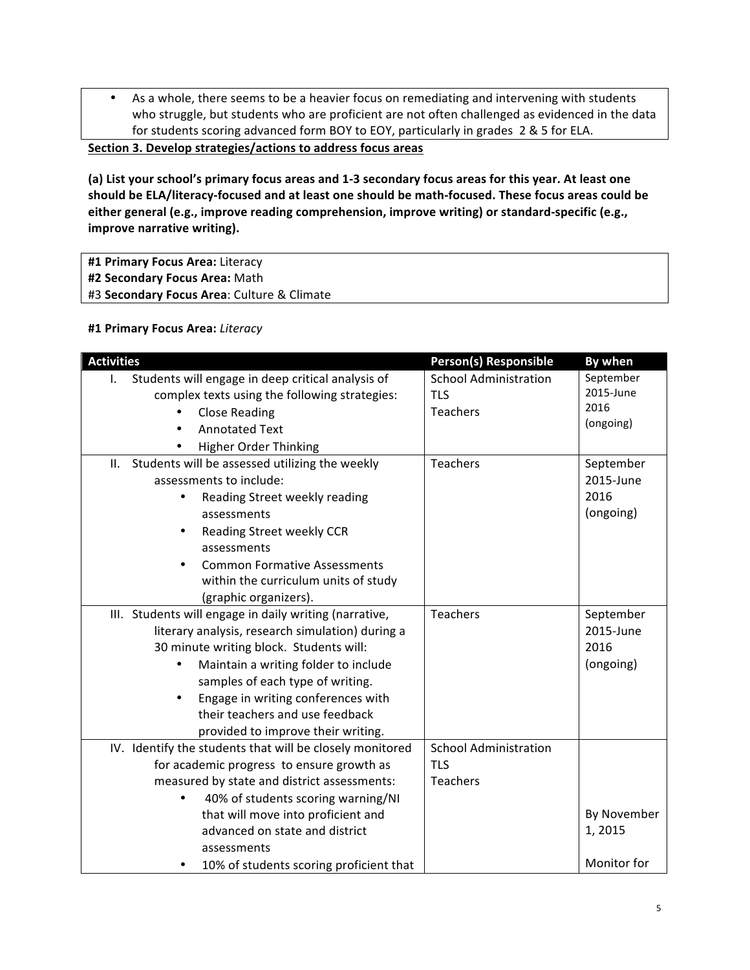• As a whole, there seems to be a heavier focus on remediating and intervening with students who struggle, but students who are proficient are not often challenged as evidenced in the data for students scoring advanced form BOY to EOY, particularly in grades 2 & 5 for ELA.

**<u>Section 3. Develop strategies/actions to address focus areas</u>** 

(a) List your school's primary focus areas and 1-3 secondary focus areas for this year. At least one should be ELA/literacy-focused and at least one should be math-focused. These focus areas could be either general (e.g., improve reading comprehension, improve writing) or standard-specific (e.g., **improve narrative writing).** 

- #1 Primary Focus Area: Literacy
- **#2 Secondary Focus Area:** Math
- #3 Secondary Focus Area: Culture & Climate

#### **#1 Primary Focus Area:** *Literacy*

| <b>Activities</b>                                                 | Person(s) Responsible        | By when     |
|-------------------------------------------------------------------|------------------------------|-------------|
| Students will engage in deep critical analysis of<br>$\mathbf{L}$ | <b>School Administration</b> | September   |
| complex texts using the following strategies:                     | <b>TLS</b>                   | 2015-June   |
|                                                                   | <b>Teachers</b>              | 2016        |
| <b>Close Reading</b>                                              |                              | (ongoing)   |
| <b>Annotated Text</b>                                             |                              |             |
| <b>Higher Order Thinking</b>                                      |                              |             |
| II. Students will be assessed utilizing the weekly                | <b>Teachers</b>              | September   |
| assessments to include:                                           |                              | 2015-June   |
| Reading Street weekly reading<br>٠                                |                              | 2016        |
| assessments                                                       |                              | (ongoing)   |
| Reading Street weekly CCR<br>٠                                    |                              |             |
| assessments                                                       |                              |             |
| <b>Common Formative Assessments</b>                               |                              |             |
| within the curriculum units of study                              |                              |             |
| (graphic organizers).                                             |                              |             |
| III. Students will engage in daily writing (narrative,            | <b>Teachers</b>              | September   |
| literary analysis, research simulation) during a                  |                              | 2015-June   |
| 30 minute writing block. Students will:                           |                              | 2016        |
| Maintain a writing folder to include                              |                              | (ongoing)   |
| samples of each type of writing.                                  |                              |             |
| Engage in writing conferences with                                |                              |             |
| their teachers and use feedback                                   |                              |             |
| provided to improve their writing.                                |                              |             |
| IV. Identify the students that will be closely monitored          | <b>School Administration</b> |             |
| for academic progress to ensure growth as                         | <b>TLS</b>                   |             |
| measured by state and district assessments:                       | Teachers                     |             |
| 40% of students scoring warning/NI                                |                              |             |
| that will move into proficient and                                |                              | By November |
| advanced on state and district                                    |                              | 1,2015      |
| assessments                                                       |                              |             |
| 10% of students scoring proficient that                           |                              | Monitor for |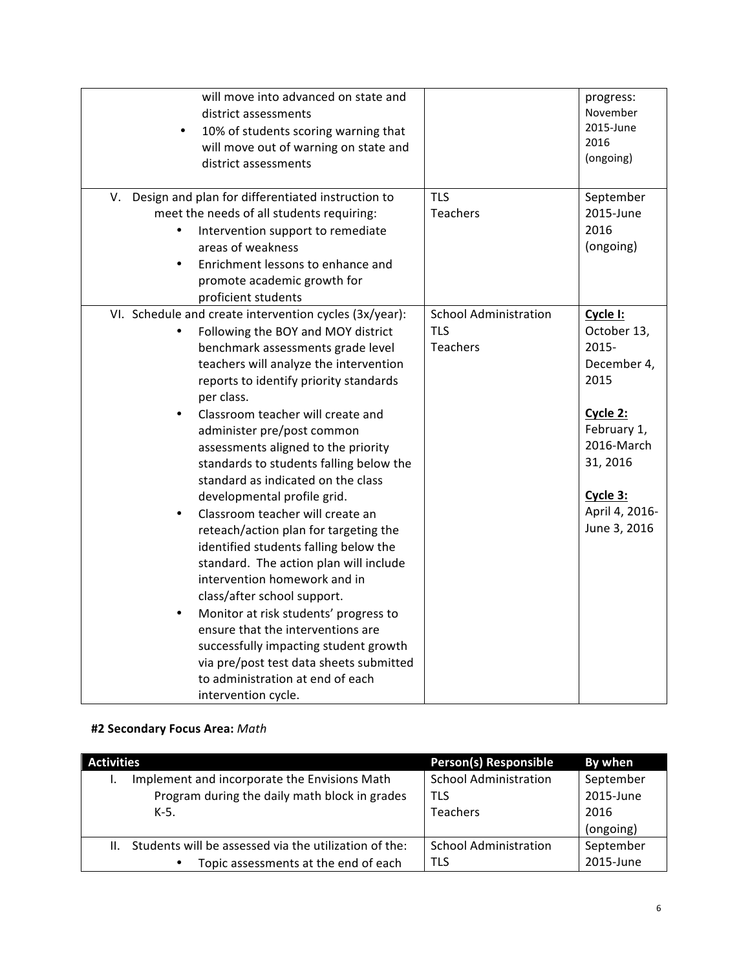| will move into advanced on state and<br>district assessments<br>10% of students scoring warning that<br>$\bullet$<br>will move out of warning on state and<br>district assessments                                                                                                                                                                                                                                                                                                                                                                                                                                                                                                                                                                                                                                                                                                                                                     |                                                        | progress:<br>November<br>2015-June<br>2016<br>(ongoing)                                                                                                    |
|----------------------------------------------------------------------------------------------------------------------------------------------------------------------------------------------------------------------------------------------------------------------------------------------------------------------------------------------------------------------------------------------------------------------------------------------------------------------------------------------------------------------------------------------------------------------------------------------------------------------------------------------------------------------------------------------------------------------------------------------------------------------------------------------------------------------------------------------------------------------------------------------------------------------------------------|--------------------------------------------------------|------------------------------------------------------------------------------------------------------------------------------------------------------------|
| V. Design and plan for differentiated instruction to<br>meet the needs of all students requiring:<br>Intervention support to remediate<br>areas of weakness<br>Enrichment lessons to enhance and<br>$\bullet$<br>promote academic growth for<br>proficient students                                                                                                                                                                                                                                                                                                                                                                                                                                                                                                                                                                                                                                                                    | <b>TLS</b><br>Teachers                                 | September<br>2015-June<br>2016<br>(ongoing)                                                                                                                |
| VI. Schedule and create intervention cycles (3x/year):<br>Following the BOY and MOY district<br>benchmark assessments grade level<br>teachers will analyze the intervention<br>reports to identify priority standards<br>per class.<br>Classroom teacher will create and<br>administer pre/post common<br>assessments aligned to the priority<br>standards to students falling below the<br>standard as indicated on the class<br>developmental profile grid.<br>Classroom teacher will create an<br>reteach/action plan for targeting the<br>identified students falling below the<br>standard. The action plan will include<br>intervention homework and in<br>class/after school support.<br>Monitor at risk students' progress to<br>$\bullet$<br>ensure that the interventions are<br>successfully impacting student growth<br>via pre/post test data sheets submitted<br>to administration at end of each<br>intervention cycle. | <b>School Administration</b><br><b>TLS</b><br>Teachers | Cycle I:<br>October 13,<br>2015-<br>December 4,<br>2015<br>Cycle 2:<br>February 1,<br>2016-March<br>31, 2016<br>Cycle 3:<br>April 4, 2016-<br>June 3, 2016 |

# **#2 Secondary Focus Area:** *Math*

| <b>Activities</b>                                           |                                               | <b>Person(s) Responsible</b> | By when   |
|-------------------------------------------------------------|-----------------------------------------------|------------------------------|-----------|
| Implement and incorporate the Envisions Math                |                                               | <b>School Administration</b> | September |
|                                                             | Program during the daily math block in grades | TLS                          | 2015-June |
|                                                             | $K-5$ .                                       | <b>Teachers</b>              | 2016      |
|                                                             |                                               |                              | (ongoing) |
| Students will be assessed via the utilization of the:<br>Ш. |                                               | <b>School Administration</b> | September |
|                                                             | Topic assessments at the end of each<br>٠     | TLS                          | 2015-June |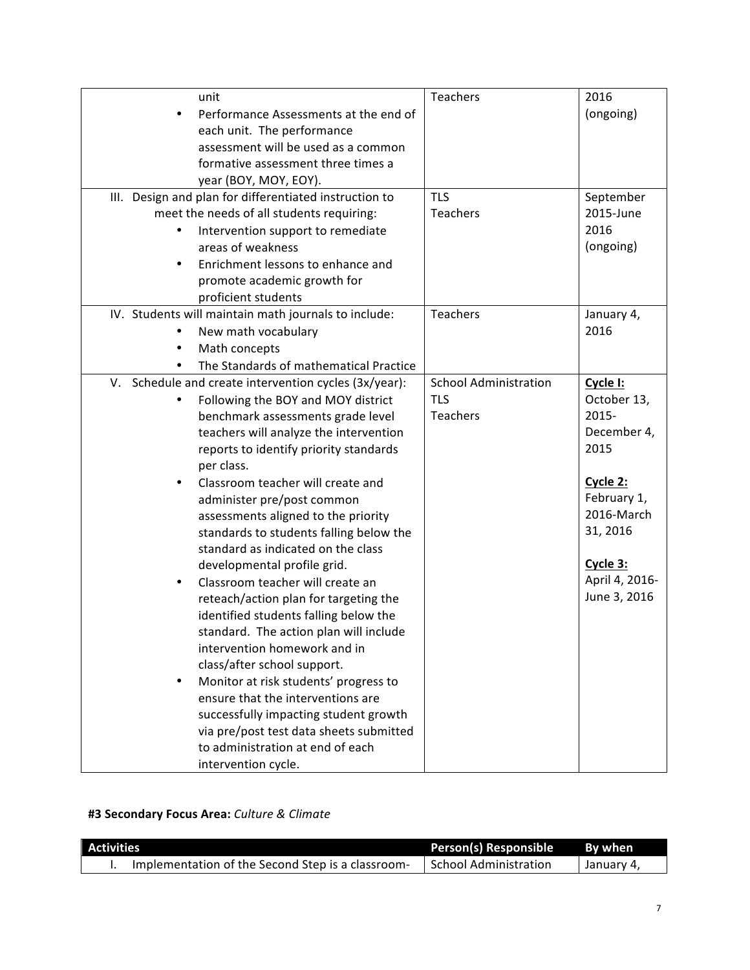| unit                                                   | Teachers                     | 2016           |
|--------------------------------------------------------|------------------------------|----------------|
| Performance Assessments at the end of                  |                              | (ongoing)      |
| each unit. The performance                             |                              |                |
| assessment will be used as a common                    |                              |                |
| formative assessment three times a                     |                              |                |
| year (BOY, MOY, EOY).                                  |                              |                |
| III. Design and plan for differentiated instruction to | <b>TLS</b>                   | September      |
| meet the needs of all students requiring:              | Teachers                     | 2015-June      |
| Intervention support to remediate                      |                              | 2016           |
| areas of weakness                                      |                              | (ongoing)      |
| Enrichment lessons to enhance and                      |                              |                |
| promote academic growth for                            |                              |                |
| proficient students                                    |                              |                |
| IV. Students will maintain math journals to include:   | Teachers                     | January 4,     |
| New math vocabulary                                    |                              | 2016           |
| Math concepts                                          |                              |                |
| The Standards of mathematical Practice                 |                              |                |
| V. Schedule and create intervention cycles (3x/year):  | <b>School Administration</b> | Cycle I:       |
| Following the BOY and MOY district                     | <b>TLS</b>                   | October 13,    |
| benchmark assessments grade level                      | Teachers                     | 2015-          |
| teachers will analyze the intervention                 |                              | December 4,    |
| reports to identify priority standards                 |                              | 2015           |
| per class.                                             |                              |                |
| Classroom teacher will create and                      |                              | Cycle 2:       |
| administer pre/post common                             |                              | February 1,    |
| assessments aligned to the priority                    |                              | 2016-March     |
| standards to students falling below the                |                              | 31, 2016       |
| standard as indicated on the class                     |                              |                |
| developmental profile grid.                            |                              | Cycle 3:       |
| Classroom teacher will create an                       |                              | April 4, 2016- |
| reteach/action plan for targeting the                  |                              | June 3, 2016   |
| identified students falling below the                  |                              |                |
| standard. The action plan will include                 |                              |                |
| intervention homework and in                           |                              |                |
| class/after school support.                            |                              |                |
| Monitor at risk students' progress to                  |                              |                |
| ensure that the interventions are                      |                              |                |
| successfully impacting student growth                  |                              |                |
| via pre/post test data sheets submitted                |                              |                |
| to administration at end of each                       |                              |                |
| intervention cycle.                                    |                              |                |

# **#3 Secondary Focus Area:** *Culture & Climate*

| <b>Activities</b> |                                                   | <b>Person(s) Responsible</b> | By when    |
|-------------------|---------------------------------------------------|------------------------------|------------|
|                   | Implementation of the Second Step is a classroom- | <b>School Administration</b> | Uanuary 4, |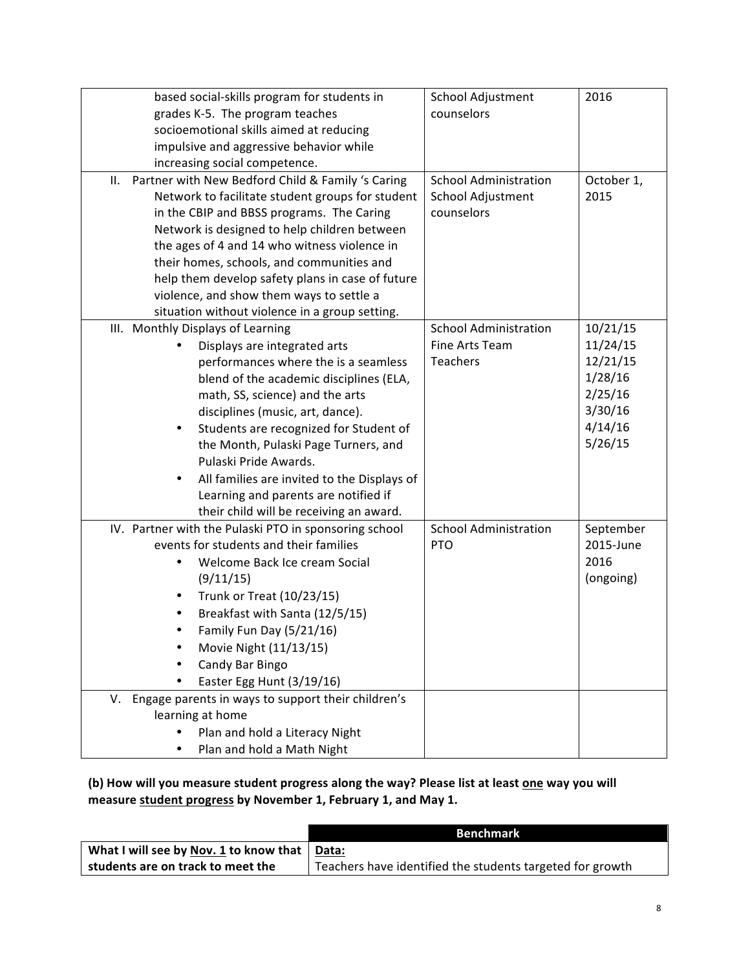|                                         | based social-skills program for students in              | School Adjustment            | 2016       |
|-----------------------------------------|----------------------------------------------------------|------------------------------|------------|
| grades K-5. The program teaches         |                                                          | counselors                   |            |
| socioemotional skills aimed at reducing |                                                          |                              |            |
| impulsive and aggressive behavior while |                                                          |                              |            |
|                                         | increasing social competence.                            |                              |            |
|                                         | Partner with New Bedford Child & Family 's Caring<br>ΙΙ. | <b>School Administration</b> | October 1, |
|                                         | Network to facilitate student groups for student         | School Adjustment            | 2015       |
|                                         | in the CBIP and BBSS programs. The Caring                | counselors                   |            |
|                                         | Network is designed to help children between             |                              |            |
|                                         | the ages of 4 and 14 who witness violence in             |                              |            |
|                                         | their homes, schools, and communities and                |                              |            |
|                                         | help them develop safety plans in case of future         |                              |            |
|                                         | violence, and show them ways to settle a                 |                              |            |
|                                         | situation without violence in a group setting.           |                              |            |
|                                         | III. Monthly Displays of Learning                        | <b>School Administration</b> | 10/21/15   |
|                                         | Displays are integrated arts                             | Fine Arts Team               | 11/24/15   |
|                                         | performances where the is a seamless                     | Teachers                     | 12/21/15   |
|                                         | blend of the academic disciplines (ELA,                  |                              | 1/28/16    |
|                                         | math, SS, science) and the arts                          |                              | 2/25/16    |
|                                         | disciplines (music, art, dance).                         |                              | 3/30/16    |
|                                         | Students are recognized for Student of                   |                              | 4/14/16    |
|                                         | the Month, Pulaski Page Turners, and                     |                              | 5/26/15    |
|                                         | Pulaski Pride Awards.                                    |                              |            |
|                                         | All families are invited to the Displays of              |                              |            |
|                                         | Learning and parents are notified if                     |                              |            |
|                                         | their child will be receiving an award.                  |                              |            |
|                                         | IV. Partner with the Pulaski PTO in sponsoring school    | <b>School Administration</b> | September  |
|                                         | events for students and their families                   | <b>PTO</b>                   | 2015-June  |
|                                         | Welcome Back Ice cream Social                            |                              | 2016       |
|                                         | (9/11/15)                                                |                              | (ongoing)  |
|                                         | Trunk or Treat (10/23/15)                                |                              |            |
|                                         | Breakfast with Santa (12/5/15)                           |                              |            |
|                                         | Family Fun Day (5/21/16)                                 |                              |            |
|                                         | Movie Night (11/13/15)                                   |                              |            |
|                                         | Candy Bar Bingo                                          |                              |            |
|                                         | Easter Egg Hunt (3/19/16)                                |                              |            |
|                                         | V. Engage parents in ways to support their children's    |                              |            |
|                                         | learning at home                                         |                              |            |
|                                         | Plan and hold a Literacy Night                           |                              |            |
|                                         | Plan and hold a Math Night                               |                              |            |
|                                         |                                                          |                              |            |

# (b) How will you measure student progress along the way? Please list at least one way you will measure **student progress** by November 1, February 1, and May 1.

|                                                      | <b>Benchmark</b>                                          |
|------------------------------------------------------|-----------------------------------------------------------|
| What I will see by Nov. 1 to know that $\vert$ Data: |                                                           |
| students are on track to meet the                    | Teachers have identified the students targeted for growth |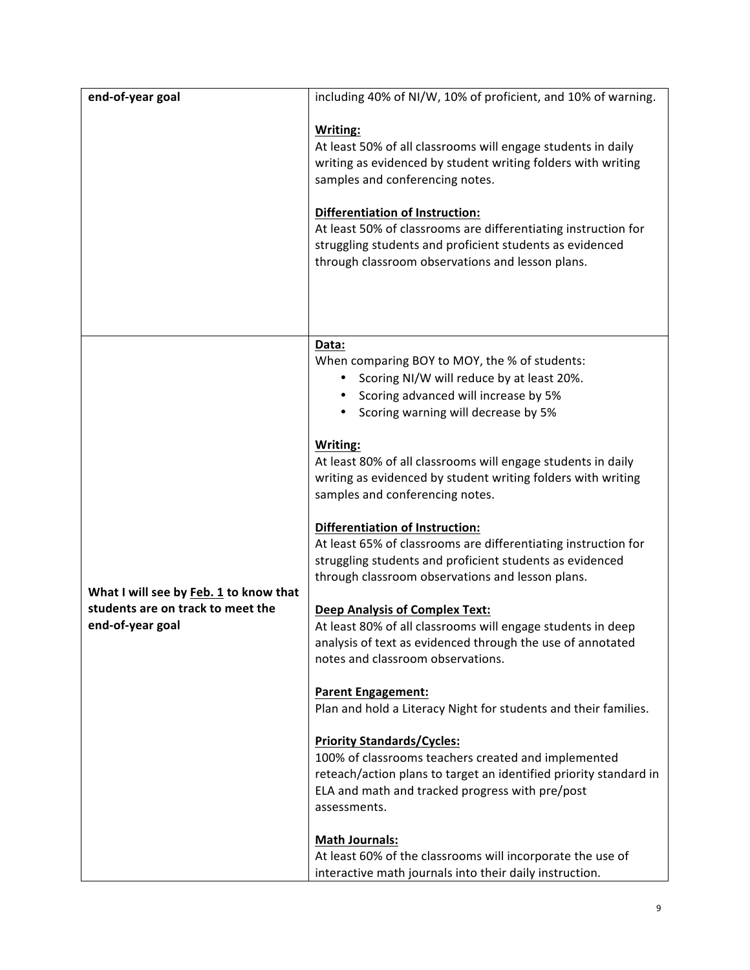| end-of-year goal                                                                                | including 40% of NI/W, 10% of proficient, and 10% of warning.                                                                                                                                                                                                                                                                                                                                                                                                                                                                                                                                                                                                                                                                                                                                                                                                                                                                                                                                                                                                                                                                                                                                                                                                                                    |
|-------------------------------------------------------------------------------------------------|--------------------------------------------------------------------------------------------------------------------------------------------------------------------------------------------------------------------------------------------------------------------------------------------------------------------------------------------------------------------------------------------------------------------------------------------------------------------------------------------------------------------------------------------------------------------------------------------------------------------------------------------------------------------------------------------------------------------------------------------------------------------------------------------------------------------------------------------------------------------------------------------------------------------------------------------------------------------------------------------------------------------------------------------------------------------------------------------------------------------------------------------------------------------------------------------------------------------------------------------------------------------------------------------------|
|                                                                                                 | <b>Writing:</b><br>At least 50% of all classrooms will engage students in daily<br>writing as evidenced by student writing folders with writing<br>samples and conferencing notes.<br><b>Differentiation of Instruction:</b><br>At least 50% of classrooms are differentiating instruction for<br>struggling students and proficient students as evidenced<br>through classroom observations and lesson plans.                                                                                                                                                                                                                                                                                                                                                                                                                                                                                                                                                                                                                                                                                                                                                                                                                                                                                   |
| What I will see by Feb. 1 to know that<br>students are on track to meet the<br>end-of-year goal | Data:<br>When comparing BOY to MOY, the % of students:<br>Scoring NI/W will reduce by at least 20%.<br>• Scoring advanced will increase by 5%<br>Scoring warning will decrease by 5%<br><b>Writing:</b><br>At least 80% of all classrooms will engage students in daily<br>writing as evidenced by student writing folders with writing<br>samples and conferencing notes.<br>Differentiation of Instruction:<br>At least 65% of classrooms are differentiating instruction for<br>struggling students and proficient students as evidenced<br>through classroom observations and lesson plans.<br><b>Deep Analysis of Complex Text:</b><br>At least 80% of all classrooms will engage students in deep<br>analysis of text as evidenced through the use of annotated<br>notes and classroom observations.<br><b>Parent Engagement:</b><br>Plan and hold a Literacy Night for students and their families.<br><b>Priority Standards/Cycles:</b><br>100% of classrooms teachers created and implemented<br>reteach/action plans to target an identified priority standard in<br>ELA and math and tracked progress with pre/post<br>assessments.<br><b>Math Journals:</b><br>At least 60% of the classrooms will incorporate the use of<br>interactive math journals into their daily instruction. |